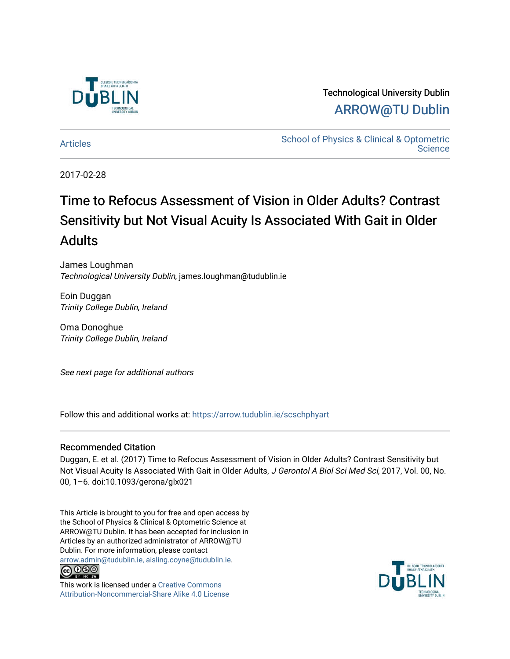

# Technological University Dublin [ARROW@TU Dublin](https://arrow.tudublin.ie/)

[Articles](https://arrow.tudublin.ie/scschphyart) **School of Physics & Clinical & Optometric Science** 

2017-02-28

# Time to Refocus Assessment of Vision in Older Adults? Contrast Sensitivity but Not Visual Acuity Is Associated With Gait in Older Adults

James Loughman Technological University Dublin, james.loughman@tudublin.ie

Eoin Duggan Trinity College Dublin, Ireland

Oma Donoghue Trinity College Dublin, Ireland

See next page for additional authors

Follow this and additional works at: [https://arrow.tudublin.ie/scschphyart](https://arrow.tudublin.ie/scschphyart?utm_source=arrow.tudublin.ie%2Fscschphyart%2F72&utm_medium=PDF&utm_campaign=PDFCoverPages)

### Recommended Citation

Duggan, E. et al. (2017) Time to Refocus Assessment of Vision in Older Adults? Contrast Sensitivity but Not Visual Acuity Is Associated With Gait in Older Adults, J Gerontol A Biol Sci Med Sci, 2017, Vol. 00, No. 00, 1–6. doi:10.1093/gerona/glx021

This Article is brought to you for free and open access by the School of Physics & Clinical & Optometric Science at ARROW@TU Dublin. It has been accepted for inclusion in Articles by an authorized administrator of ARROW@TU Dublin. For more information, please contact [arrow.admin@tudublin.ie, aisling.coyne@tudublin.ie](mailto:arrow.admin@tudublin.ie,%20aisling.coyne@tudublin.ie).



This work is licensed under a [Creative Commons](http://creativecommons.org/licenses/by-nc-sa/4.0/) [Attribution-Noncommercial-Share Alike 4.0 License](http://creativecommons.org/licenses/by-nc-sa/4.0/)

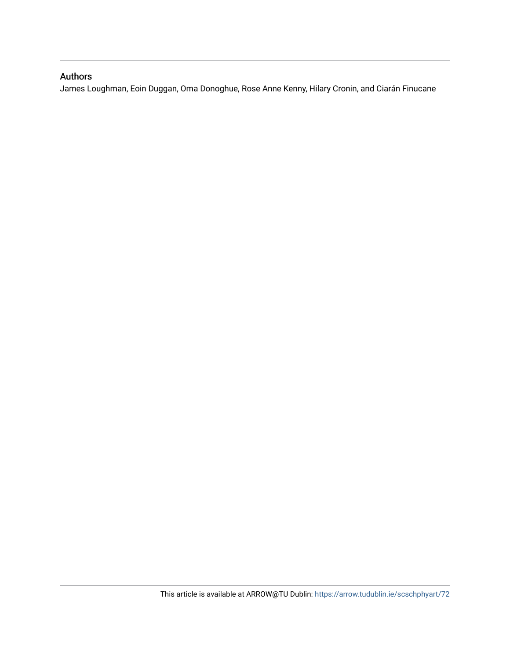## Authors

James Loughman, Eoin Duggan, Oma Donoghue, Rose Anne Kenny, Hilary Cronin, and Ciarán Finucane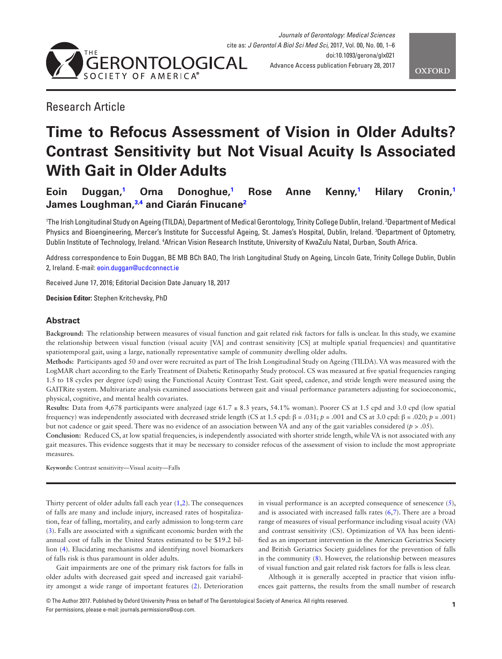

# Research Article

# **Time to Refocus Assessment of Vision in Older Adults? Contrast Sensitivity but Not Visual Acuity Is Associated With Gait in Older Adults**

#### **Eoin Duggan, [1](#page-2-0) Orna Donoghue, [1](#page-2-0) Rose Anne Kenny, [1](#page-2-0) Hilary Cronin, [1](#page-2-0) James Loughman, [3,](#page-2-1)[4](#page-2-2) and Ciarán Finucane[2](#page-2-3)**

<span id="page-2-3"></span><span id="page-2-1"></span><span id="page-2-0"></span>1 The Irish Longitudinal Study on Ageing (TILDA), Department of Medical Gerontology, Trinity College Dublin, Ireland. 2 Department of Medical Physics and Bioengineering, Mercer's Institute for Successful Ageing, St. James's Hospital, Dublin, Ireland. 3 Department of Optometry, Dublin Institute of Technology, Ireland. <sup>4</sup>African Vision Research Institute, University of KwaZulu Natal, Durban, South Africa.

<span id="page-2-2"></span>Address correspondence to Eoin Duggan, BE MB BCh BAO, The Irish Longitudinal Study on Ageing, Lincoln Gate, Trinity College Dublin, Dublin 2, Ireland. E-mail: [eoin.duggan@ucdconnect.ie](mailto:eoin.duggan@ucdconnect.ie?subject=)

Received June 17, 2016; Editorial Decision Date January 18, 2017

**Decision Editor:** Stephen Kritchevsky, PhD

#### **Abstract**

**Background:** The relationship between measures of visual function and gait related risk factors for falls is unclear. In this study, we examine the relationship between visual function (visual acuity [VA] and contrast sensitivity [CS] at multiple spatial frequencies) and quantitative spatiotemporal gait, using a large, nationally representative sample of community dwelling older adults.

**Methods:** Participants aged 50 and over were recruited as part of The Irish Longitudinal Study on Ageing (TILDA). VA was measured with the LogMAR chart according to the Early Treatment of Diabetic Retinopathy Study protocol. CS was measured at five spatial frequencies ranging 1.5 to 18 cycles per degree (cpd) using the Functional Acuity Contrast Test. Gait speed, cadence, and stride length were measured using the GAITRite system. Multivariate analysis examined associations between gait and visual performance parameters adjusting for socioeconomic, physical, cognitive, and mental health covariates.

**Results:** Data from 4,678 participants were analyzed (age 61.7 ± 8.3 years, 54.1% woman). Poorer CS at 1.5 cpd and 3.0 cpd (low spatial frequency) was independently associated with decreased stride length (CS at 1.5 cpd: β = .031; *p* = .001 and CS at 3.0 cpd: β = .020; *p* = .001) but not cadence or gait speed. There was no evidence of an association between VA and any of the gait variables considered (*p* > .05).

**Conclusion:** Reduced CS, at low spatial frequencies, is independently associated with shorter stride length, while VA is not associated with any gait measures. This evidence suggests that it may be necessary to consider refocus of the assessment of vision to include the most appropriate measures.

**Keywords:** Contrast sensitivity—Visual acuity—Falls

Thirty percent of older adults fall each year [\(1,](#page-6-0)[2](#page-6-1)). The consequences of falls are many and include injury, increased rates of hospitalization, fear of falling, mortality, and early admission to long-term care [\(3\)](#page-6-2). Falls are associated with a significant economic burden with the annual cost of falls in the United States estimated to be \$19.2 billion ([4](#page-6-3)). Elucidating mechanisms and identifying novel biomarkers of falls risk is thus paramount in older adults.

Gait impairments are one of the primary risk factors for falls in older adults with decreased gait speed and increased gait variability amongst a wide range of important features ([2](#page-6-1)). Deterioration

in visual performance is an accepted consequence of senescence  $(5)$  $(5)$  $(5)$ , and is associated with increased falls rates  $(6,7)$  $(6,7)$ . There are a broad range of measures of visual performance including visual acuity (VA) and contrast sensitivity (CS). Optimization of VA has been identified as an important intervention in the American Geriatrics Society and British Geriatrics Society guidelines for the prevention of falls in the community ([8](#page-7-3)). However, the relationship between measures of visual function and gait related risk factors for falls is less clear.

Although it is generally accepted in practice that vision influences gait patterns, the results from the small number of research

© The Author 2017. Published by Oxford University Press on behalf of The Gerontological Society of America. All rights reserved. For permissions, please e-mail: journals.permissions@oup.com.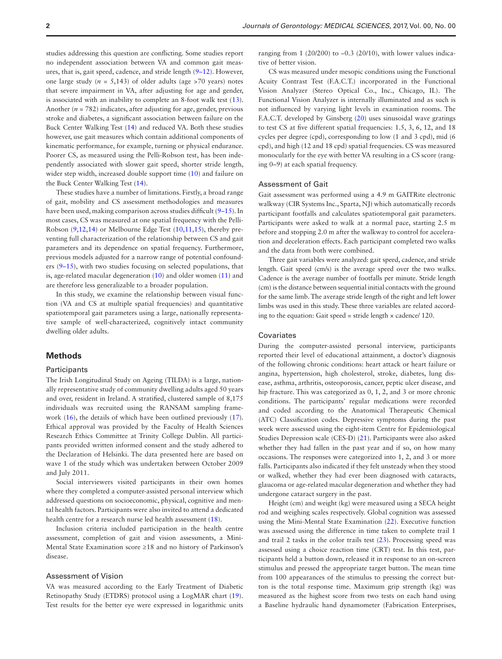studies addressing this question are conflicting. Some studies report no independent association between VA and common gait measures, that is, gait speed, cadence, and stride length ([9–12](#page-7-4)). However, one large study ( $n = 5,143$ ) of older adults (age  $>70$  years) notes that severe impairment in VA, after adjusting for age and gender, is associated with an inability to complete an 8-foot walk test [\(13](#page-7-5)). Another ( $n = 782$ ) indicates, after adjusting for age, gender, previous stroke and diabetes, a significant association between failure on the Buck Center Walking Test ([14\)](#page-7-6) and reduced VA. Both these studies however, use gait measures which contain additional components of kinematic performance, for example, turning or physical endurance. Poorer CS, as measured using the Pelli-Robson test, has been independently associated with slower gait speed, shorter stride length, wider step width, increased double support time [\(10\)](#page-7-7) and failure on the Buck Center Walking Test ([14](#page-7-6)).

These studies have a number of limitations. Firstly, a broad range of gait, mobility and CS assessment methodologies and measures have been used, making comparison across studies difficult ([9–15](#page-7-4)). In most cases, CS was measured at one spatial frequency with the Pelli-Robson ([9](#page-7-4)[,12](#page-7-8)[,14](#page-7-6)) or Melbourne Edge Test [\(10](#page-7-7)[,11](#page-7-9)[,15](#page-7-10)), thereby preventing full characterization of the relationship between CS and gait parameters and its dependence on spatial frequency. Furthermore, previous models adjusted for a narrow range of potential confounders ([9–15](#page-7-4)), with two studies focusing on selected populations, that is, age-related macular degeneration [\(10](#page-7-7)) and older women [\(11\)](#page-7-9) and are therefore less generalizable to a broader population.

In this study, we examine the relationship between visual function (VA and CS at multiple spatial frequencies) and quantitative spatiotemporal gait parameters using a large, nationally representative sample of well-characterized, cognitively intact community dwelling older adults.

### **Methods**

#### **Participants**

The Irish Longitudinal Study on Ageing (TILDA) is a large, nationally representative study of community dwelling adults aged 50 years and over, resident in Ireland. A stratified, clustered sample of 8,175 individuals was recruited using the RANSAM sampling framework [\(16](#page-7-11)), the details of which have been outlined previously [\(17](#page-7-12)). Ethical approval was provided by the Faculty of Health Sciences Research Ethics Committee at Trinity College Dublin. All participants provided written informed consent and the study adhered to the Declaration of Helsinki. The data presented here are based on wave 1 of the study which was undertaken between October 2009 and July 2011.

Social interviewers visited participants in their own homes where they completed a computer-assisted personal interview which addressed questions on socioeconomic, physical, cognitive and mental health factors. Participants were also invited to attend a dedicated health centre for a research nurse led health assessment ([18\)](#page-7-13).

Inclusion criteria included participation in the health centre assessment, completion of gait and vision assessments, a Mini-Mental State Examination score ≥18 and no history of Parkinson's disease.

#### Assessment of Vision

VA was measured according to the Early Treatment of Diabetic Retinopathy Study (ETDRS) protocol using a LogMAR chart ([19\)](#page-7-14). Test results for the better eye were expressed in logarithmic units

ranging from 1 (20/200) to −0.3 (20/10), with lower values indicative of better vision.

CS was measured under mesopic conditions using the Functional Acuity Contrast Test (F.A.C.T.) incorporated in the Functional Vision Analyzer (Stereo Optical Co., Inc., Chicago, IL). The Functional Vision Analyzer is internally illuminated and as such is not influenced by varying light levels in examination rooms. The F.A.C.T. developed by Ginsberg [\(20](#page-7-15)) uses sinusoidal wave gratings to test CS at five different spatial frequencies: 1.5, 3, 6, 12, and 18 cycles per degree (cpd), corresponding to low (1 and 3 cpd), mid (6 cpd), and high (12 and 18 cpd) spatial frequencies. CS was measured monocularly for the eye with better VA resulting in a CS score (ranging 0–9) at each spatial frequency.

#### Assessment of Gait

Gait assessment was performed using a 4.9 m GAITRite electronic walkway (CIR Systems Inc., Sparta, NJ) which automatically records participant footfalls and calculates spatiotemporal gait parameters. Participants were asked to walk at a normal pace, starting 2.5 m before and stopping 2.0 m after the walkway to control for acceleration and deceleration effects. Each participant completed two walks and the data from both were combined.

Three gait variables were analyzed: gait speed, cadence, and stride length. Gait speed (cm/s) is the average speed over the two walks. Cadence is the average number of footfalls per minute. Stride length (cm) is the distance between sequential initial contacts with the ground for the same limb. The average stride length of the right and left lower limbs was used in this study. These three variables are related according to the equation: Gait speed = stride length  $\times$  cadence/ 120.

#### Covariates

During the computer-assisted personal interview, participants reported their level of educational attainment, a doctor's diagnosis of the following chronic conditions: heart attack or heart failure or angina, hypertension, high cholesterol, stroke, diabetes, lung disease, asthma, arthritis, osteoporosis, cancer, peptic ulcer disease, and hip fracture. This was categorized as 0, 1, 2, and 3 or more chronic conditions. The participants' regular medications were recorded and coded according to the Anatomical Therapeutic Chemical (ATC) Classification codes. Depressive symptoms during the past week were assessed using the eight-item Centre for Epidemiological Studies Depression scale (CES-D) ([21\)](#page-7-16). Participants were also asked whether they had fallen in the past year and if so, on how many occasions. The responses were categorized into 1, 2, and 3 or more falls. Participants also indicated if they felt unsteady when they stood or walked, whether they had ever been diagnosed with cataracts, glaucoma or age-related macular degeneration and whether they had undergone cataract surgery in the past.

Height (cm) and weight (kg) were measured using a SECA height rod and weighing scales respectively. Global cognition was assessed using the Mini-Mental State Examination ([22\)](#page-7-17). Executive function was assessed using the difference in time taken to complete trail 1 and trail 2 tasks in the color trails test ([23\)](#page-7-18). Processing speed was assessed using a choice reaction time (CRT) test. In this test, participants held a button down, released it in response to an on-screen stimulus and pressed the appropriate target button. The mean time from 100 appearances of the stimulus to pressing the correct button is the total response time. Maximum grip strength (kg) was measured as the highest score from two tests on each hand using a Baseline hydraulic hand dynamometer (Fabrication Enterprises,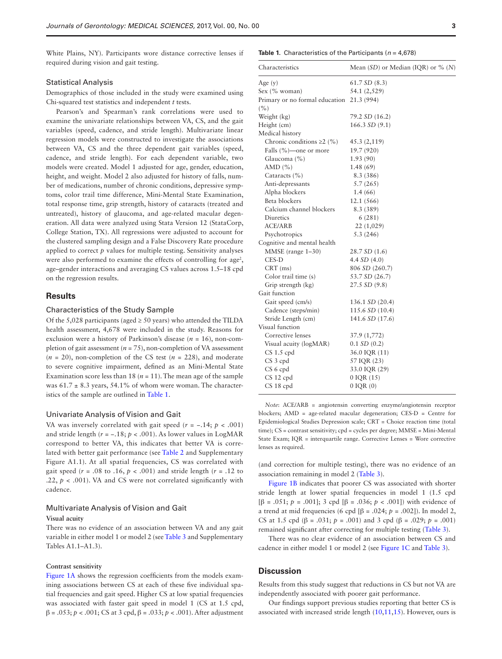White Plains, NY). Participants wore distance corrective lenses if required during vision and gait testing.

#### Statistical Analysis

Demographics of those included in the study were examined using Chi-squared test statistics and independent *t* tests.

Pearson's and Spearman's rank correlations were used to examine the univariate relationships between VA, CS, and the gait variables (speed, cadence, and stride length). Multivariate linear regression models were constructed to investigate the associations between VA, CS and the three dependent gait variables (speed, cadence, and stride length). For each dependent variable, two models were created. Model 1 adjusted for age, gender, education, height, and weight. Model 2 also adjusted for history of falls, number of medications, number of chronic conditions, depressive symptoms, color trail time difference, Mini-Mental State Examination, total response time, grip strength, history of cataracts (treated and untreated), history of glaucoma, and age-related macular degeneration. All data were analyzed using Stata Version 12 (StataCorp, College Station, TX). All regressions were adjusted to account for the clustered sampling design and a False Discovery Rate procedure applied to correct *p* values for multiple testing. Sensitivity analyses were also performed to examine the effects of controlling for age<sup>2</sup>, age–gender interactions and averaging CS values across 1.5–18 cpd on the regression results.

#### **Results**

#### Characteristics of the Study Sample

Of the 5,028 participants (aged  $\geq$  50 years) who attended the TILDA health assessment, 4,678 were included in the study. Reasons for exclusion were a history of Parkinson's disease (*n* = 16), non-completion of gait assessment ( $n = 75$ ), non-completion of VA assessment  $(n = 20)$ , non-completion of the CS test  $(n = 228)$ , and moderate to severe cognitive impairment, defined as an Mini-Mental State Examination score less than 18 ( $n = 11$ ). The mean age of the sample was  $61.7 \pm 8.3$  years,  $54.1\%$  of whom were woman. The characteristics of the sample are outlined in [Table 1.](#page-4-0)

#### Univariate Analysis of Vision and Gait

VA was inversely correlated with gait speed (*r* = −.14; *p* < .001) and stride length  $(r = -.18; p < .001)$ . As lower values in LogMAR correspond to better VA, this indicates that better VA is correlated with better gait performance (see [Table 2](#page-5-0) and Supplementary Figure A1.1). At all spatial frequencies, CS was correlated with gait speed (*r* = .08 to .16, *p* < .001) and stride length (*r* = .12 to .22,  $p < .001$ ). VA and CS were not correlated significantly with cadence.

#### Multivariate Analysis of Vision and Gait **Visual acuity**

There was no evidence of an association between VA and any gait variable in either model 1 or model 2 (see [Table 3](#page-5-1) and Supplementary Tables A1.1–A1.3).

#### **Contrast sensitivity**

[Figure 1A](#page-6-4) shows the regression coefficients from the models examining associations between CS at each of these five individual spatial frequencies and gait speed. Higher CS at low spatial frequencies was associated with faster gait speed in model 1 (CS at 1.5 cpd, β = .053; *p* < .001; CS at 3 cpd, β = .033; *p* < .001). After adjustment

#### <span id="page-4-0"></span>**Table 1.** Characteristics of the Participants (*n* = 4,678)

| 61.7 SD $(8.3)$<br>54.1 (2,529)<br>Primary or no formal education 21.3 (994)<br>79.2 SD (16.2)<br>166.3 SD $(9.1)$<br>Medical history<br>Chronic conditions $\geq 2$ (%)<br>45.3(2,119)<br>Falls $(\% )$ —one or more<br>19.7 (920)<br>Glaucoma (%)<br>1.93(90)<br>AMD $(\% )$<br>1.48(69)<br>Cataracts (%)<br>8.3 (386)<br>Anti-depressants<br>5.7(265)<br>Alpha blockers<br>1.4(66)<br>Beta blockers<br>12.1 (566)<br>Calcium channel blockers<br>8.3 (389)<br>Diuretics<br>6(281)<br><b>ACE/ARB</b><br>22(1,029)<br>Psychotropics<br>5.3 (246)<br>Cognitive and mental health<br>MMSE (range 1-30)<br>28.7 SD (1.6)<br>CES-D<br>4.4 SD $(4.0)$<br>$CRT$ (ms)<br>806 SD (260.7)<br>Color trail time (s)<br>53.7 SD (26.7)<br>27.5 SD (9.8)<br>Grip strength (kg)<br>Gait speed (cm/s)<br>136.1 SD (20.4)<br>Cadence (steps/min)<br>115.6 SD (10.4)<br>Stride Length (cm)<br>141.6 SD (17.6)<br>Corrective lenses<br>37.9 (1,772)<br>Visual acuity (logMAR)<br>0.1 SD(0.2)<br>$CS$ 1.5 cpd<br>36.0 IQR (11)<br>CS 3 cpd<br>57 IQR (23)<br>CS 6 cpd<br>33.0 IQR (29)<br>$CS12$ cpd<br>$0$ IQR $(15)$<br>$CS18$ cpd<br>$0$ IQR $(0)$ | Characteristics | Mean (SD) or Median (IQR) or % (N) |  |  |
|-------------------------------------------------------------------------------------------------------------------------------------------------------------------------------------------------------------------------------------------------------------------------------------------------------------------------------------------------------------------------------------------------------------------------------------------------------------------------------------------------------------------------------------------------------------------------------------------------------------------------------------------------------------------------------------------------------------------------------------------------------------------------------------------------------------------------------------------------------------------------------------------------------------------------------------------------------------------------------------------------------------------------------------------------------------------------------------------------------------------------------------|-----------------|------------------------------------|--|--|
|                                                                                                                                                                                                                                                                                                                                                                                                                                                                                                                                                                                                                                                                                                                                                                                                                                                                                                                                                                                                                                                                                                                                     | Age $(y)$       |                                    |  |  |
|                                                                                                                                                                                                                                                                                                                                                                                                                                                                                                                                                                                                                                                                                                                                                                                                                                                                                                                                                                                                                                                                                                                                     | Sex (% woman)   |                                    |  |  |
|                                                                                                                                                                                                                                                                                                                                                                                                                                                                                                                                                                                                                                                                                                                                                                                                                                                                                                                                                                                                                                                                                                                                     |                 |                                    |  |  |
|                                                                                                                                                                                                                                                                                                                                                                                                                                                                                                                                                                                                                                                                                                                                                                                                                                                                                                                                                                                                                                                                                                                                     | (%)             |                                    |  |  |
|                                                                                                                                                                                                                                                                                                                                                                                                                                                                                                                                                                                                                                                                                                                                                                                                                                                                                                                                                                                                                                                                                                                                     | Weight (kg)     |                                    |  |  |
|                                                                                                                                                                                                                                                                                                                                                                                                                                                                                                                                                                                                                                                                                                                                                                                                                                                                                                                                                                                                                                                                                                                                     | Height (cm)     |                                    |  |  |
|                                                                                                                                                                                                                                                                                                                                                                                                                                                                                                                                                                                                                                                                                                                                                                                                                                                                                                                                                                                                                                                                                                                                     |                 |                                    |  |  |
|                                                                                                                                                                                                                                                                                                                                                                                                                                                                                                                                                                                                                                                                                                                                                                                                                                                                                                                                                                                                                                                                                                                                     |                 |                                    |  |  |
|                                                                                                                                                                                                                                                                                                                                                                                                                                                                                                                                                                                                                                                                                                                                                                                                                                                                                                                                                                                                                                                                                                                                     |                 |                                    |  |  |
|                                                                                                                                                                                                                                                                                                                                                                                                                                                                                                                                                                                                                                                                                                                                                                                                                                                                                                                                                                                                                                                                                                                                     |                 |                                    |  |  |
|                                                                                                                                                                                                                                                                                                                                                                                                                                                                                                                                                                                                                                                                                                                                                                                                                                                                                                                                                                                                                                                                                                                                     |                 |                                    |  |  |
|                                                                                                                                                                                                                                                                                                                                                                                                                                                                                                                                                                                                                                                                                                                                                                                                                                                                                                                                                                                                                                                                                                                                     |                 |                                    |  |  |
|                                                                                                                                                                                                                                                                                                                                                                                                                                                                                                                                                                                                                                                                                                                                                                                                                                                                                                                                                                                                                                                                                                                                     |                 |                                    |  |  |
|                                                                                                                                                                                                                                                                                                                                                                                                                                                                                                                                                                                                                                                                                                                                                                                                                                                                                                                                                                                                                                                                                                                                     |                 |                                    |  |  |
|                                                                                                                                                                                                                                                                                                                                                                                                                                                                                                                                                                                                                                                                                                                                                                                                                                                                                                                                                                                                                                                                                                                                     |                 |                                    |  |  |
|                                                                                                                                                                                                                                                                                                                                                                                                                                                                                                                                                                                                                                                                                                                                                                                                                                                                                                                                                                                                                                                                                                                                     |                 |                                    |  |  |
|                                                                                                                                                                                                                                                                                                                                                                                                                                                                                                                                                                                                                                                                                                                                                                                                                                                                                                                                                                                                                                                                                                                                     |                 |                                    |  |  |
|                                                                                                                                                                                                                                                                                                                                                                                                                                                                                                                                                                                                                                                                                                                                                                                                                                                                                                                                                                                                                                                                                                                                     |                 |                                    |  |  |
|                                                                                                                                                                                                                                                                                                                                                                                                                                                                                                                                                                                                                                                                                                                                                                                                                                                                                                                                                                                                                                                                                                                                     |                 |                                    |  |  |
|                                                                                                                                                                                                                                                                                                                                                                                                                                                                                                                                                                                                                                                                                                                                                                                                                                                                                                                                                                                                                                                                                                                                     |                 |                                    |  |  |
|                                                                                                                                                                                                                                                                                                                                                                                                                                                                                                                                                                                                                                                                                                                                                                                                                                                                                                                                                                                                                                                                                                                                     |                 |                                    |  |  |
|                                                                                                                                                                                                                                                                                                                                                                                                                                                                                                                                                                                                                                                                                                                                                                                                                                                                                                                                                                                                                                                                                                                                     |                 |                                    |  |  |
|                                                                                                                                                                                                                                                                                                                                                                                                                                                                                                                                                                                                                                                                                                                                                                                                                                                                                                                                                                                                                                                                                                                                     |                 |                                    |  |  |
|                                                                                                                                                                                                                                                                                                                                                                                                                                                                                                                                                                                                                                                                                                                                                                                                                                                                                                                                                                                                                                                                                                                                     |                 |                                    |  |  |
|                                                                                                                                                                                                                                                                                                                                                                                                                                                                                                                                                                                                                                                                                                                                                                                                                                                                                                                                                                                                                                                                                                                                     |                 |                                    |  |  |
|                                                                                                                                                                                                                                                                                                                                                                                                                                                                                                                                                                                                                                                                                                                                                                                                                                                                                                                                                                                                                                                                                                                                     | Gait function   |                                    |  |  |
|                                                                                                                                                                                                                                                                                                                                                                                                                                                                                                                                                                                                                                                                                                                                                                                                                                                                                                                                                                                                                                                                                                                                     |                 |                                    |  |  |
|                                                                                                                                                                                                                                                                                                                                                                                                                                                                                                                                                                                                                                                                                                                                                                                                                                                                                                                                                                                                                                                                                                                                     |                 |                                    |  |  |
|                                                                                                                                                                                                                                                                                                                                                                                                                                                                                                                                                                                                                                                                                                                                                                                                                                                                                                                                                                                                                                                                                                                                     |                 |                                    |  |  |
|                                                                                                                                                                                                                                                                                                                                                                                                                                                                                                                                                                                                                                                                                                                                                                                                                                                                                                                                                                                                                                                                                                                                     | Visual function |                                    |  |  |
|                                                                                                                                                                                                                                                                                                                                                                                                                                                                                                                                                                                                                                                                                                                                                                                                                                                                                                                                                                                                                                                                                                                                     |                 |                                    |  |  |
|                                                                                                                                                                                                                                                                                                                                                                                                                                                                                                                                                                                                                                                                                                                                                                                                                                                                                                                                                                                                                                                                                                                                     |                 |                                    |  |  |
|                                                                                                                                                                                                                                                                                                                                                                                                                                                                                                                                                                                                                                                                                                                                                                                                                                                                                                                                                                                                                                                                                                                                     |                 |                                    |  |  |
|                                                                                                                                                                                                                                                                                                                                                                                                                                                                                                                                                                                                                                                                                                                                                                                                                                                                                                                                                                                                                                                                                                                                     |                 |                                    |  |  |
|                                                                                                                                                                                                                                                                                                                                                                                                                                                                                                                                                                                                                                                                                                                                                                                                                                                                                                                                                                                                                                                                                                                                     |                 |                                    |  |  |
|                                                                                                                                                                                                                                                                                                                                                                                                                                                                                                                                                                                                                                                                                                                                                                                                                                                                                                                                                                                                                                                                                                                                     |                 |                                    |  |  |
|                                                                                                                                                                                                                                                                                                                                                                                                                                                                                                                                                                                                                                                                                                                                                                                                                                                                                                                                                                                                                                                                                                                                     |                 |                                    |  |  |

*Note*: ACE/ARB = angiotensin converting enzyme/angiotensin receptor blockers; AMD = age-related macular degeneration; CES-D = Centre for Epidemiological Studies Depression scale; CRT = Choice reaction time (total time); CS = contrast sensitivity; cpd = cycles per degree; MMSE = Mini-Mental State Exam; IQR = interquartile range. Corrective Lenses = Wore corrective lenses as required.

(and correction for multiple testing), there was no evidence of an association remaining in model 2 ([Table 3](#page-5-1)).

[Figure 1B](#page-6-4) indicates that poorer CS was associated with shorter stride length at lower spatial frequencies in model 1 (1.5 cpd [β = .051; *p* = .001]; 3 cpd [β = .036; *p* < .001]) with evidence of a trend at mid frequencies (6 cpd [β = .024;  $p = .002$ ]). In model 2, CS at 1.5 cpd ( $\beta$  = .031; *p* = .001) and 3 cpd ( $\beta$  = .029; *p* = .001) remained significant after correcting for multiple testing ([Table 3](#page-5-1)).

There was no clear evidence of an association between CS and cadence in either model 1 or model 2 (see [Figure 1C](#page-6-4) and [Table 3\)](#page-5-1).

#### **Discussion**

Results from this study suggest that reductions in CS but not VA are independently associated with poorer gait performance.

Our findings support previous studies reporting that better CS is associated with increased stride length ([10](#page-7-7),[11,](#page-7-9)[15\)](#page-7-10). However, ours is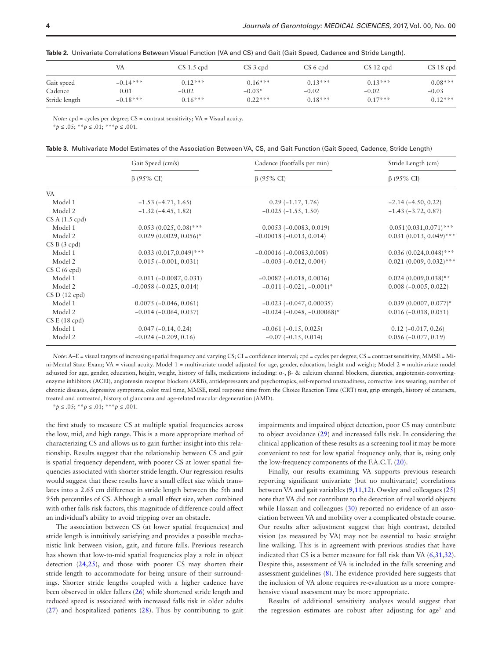<span id="page-5-0"></span>

|  |  |  |  | Table 2. Univariate Correlations Between Visual Function (VA and CS) and Gait (Gait Speed, Cadence and Stride Length). |
|--|--|--|--|------------------------------------------------------------------------------------------------------------------------|
|--|--|--|--|------------------------------------------------------------------------------------------------------------------------|

|               | VA         | $CS$ 1.5 cpd | CS 3 cpd  | CS 6 cpd  | $CS12$ cpd | $CS18$ cpd |
|---------------|------------|--------------|-----------|-----------|------------|------------|
| Gait speed    | $-0.14***$ | $0.12***$    | $0.16***$ | $0.13***$ | $0.13***$  | $0.08***$  |
| Cadence       | 0.01       | $-0.02$      | $-0.03*$  | $-0.02$   | $-0.02$    | $-0.03$    |
| Stride length | $-0.18***$ | $0.16***$    | $0.22***$ | $0.18***$ | $0.17***$  | $0.12***$  |

*Note:* cpd = cycles per degree; CS = contrast sensitivity; VA = Visual acuity.

\**p* ≤ .05; \*\**p* ≤ .01; \*\*\**p* ≤ .001.

<span id="page-5-1"></span>

|  |  |  |  |  | Table 3. Multivariate Model Estimates of the Association Between VA, CS, and Gait Function (Gait Speed, Cadence, Stride Length) |
|--|--|--|--|--|---------------------------------------------------------------------------------------------------------------------------------|
|--|--|--|--|--|---------------------------------------------------------------------------------------------------------------------------------|

|                | Gait Speed (cm/s)          | Cadence (footfalls per min)         | Stride Length (cm)<br>$\beta$ (95% CI) |  |
|----------------|----------------------------|-------------------------------------|----------------------------------------|--|
|                | $\beta$ (95% CI)           | $\beta$ (95% CI)                    |                                        |  |
| VA             |                            |                                     |                                        |  |
| Model 1        | $-1.53(-4.71, 1.65)$       | $0.29(-1.17, 1.76)$                 | $-2.14(-4.50, 0.22)$                   |  |
| Model 2        | $-1.32(-4.45, 1.82)$       | $-0.025(-1.55, 1.50)$               | $-1.43$ $(-3.72, 0.87)$                |  |
| CS A (1.5 cpd) |                            |                                     |                                        |  |
| Model 1        | $0.053(0.025, 0.08)$ ***   | $0.0053 (-0.0083, 0.019)$           | $0.051(0.031, 0.071)$ ***              |  |
| Model 2        | $0.029(0.0029, 0.056)^*$   | $-0.00018(-0.013, 0.014)$           | $0.031(0.013, 0.049)$ ***              |  |
| CS B (3 cpd)   |                            |                                     |                                        |  |
| Model 1        | $0.033(0.017, 0.049)$ ***  | $-0.00016(-0.0083, 0.008)$          | $0.036(0.024, 0.048)$ ***              |  |
| Model 2        | $0.015(-0.001, 0.031)$     | $-0.003(-0.012, 0.004)$             | $0.021(0.009, 0.032)$ ***              |  |
| CS C (6 cpd)   |                            |                                     |                                        |  |
| Model 1        | $0.011 (-0.0087, 0.031)$   | $-0.0082$ ( $-0.018$ , 0.0016)      | $0.024(0.009, 0.038)$ **               |  |
| Model 2        | $-0.0058(-0.025, 0.014)$   | $-0.011$ $(-0.021, -0.001)^*$       | $0.008 (-0.005, 0.022)$                |  |
| CS D (12 cpd)  |                            |                                     |                                        |  |
| Model 1        | $0.0075(-0.046, 0.061)$    | $-0.023(-0.047, 0.00035)$           | $0.039(0.0007, 0.077)^*$               |  |
| Model 2        | $-0.014$ $(-0.064, 0.037)$ | $-0.024$ ( $-0.048$ , $-0.00068$ )* | $0.016(-0.018, 0.051)$                 |  |
| CS E (18 cpd)  |                            |                                     |                                        |  |
| Model 1        | $0.047(-0.14, 0.24)$       | $-0.061(-0.15, 0.025)$              | $0.12$ (-0.017, 0.26)                  |  |
| Model 2        | $-0.024(-0.209, 0.16)$     | $-0.07$ $(-0.15, 0.014)$            | $0.056(-0.077, 0.19)$                  |  |

*Note*: A–E = visual targets of increasing spatial frequency and varying CS; CI = confidence interval; cpd = cycles per degree; CS = contrast sensitivity; MMSE = Mini-Mental State Exam; VA = visual acuity. Model 1 = multivariate model adjusted for age, gender, education, height and weight; Model 2 = multivariate model adjusted for age, gender, education, height, weight, history of falls, medications including: α-, β- & calcium channel blockers, diuretics, angiotensin-convertingenzyme inhibitors (ACEI), angiotensin receptor blockers (ARB), antidepressants and psychotropics, self-reported unsteadiness, corrective lens wearing, number of chronic diseases, depressive symptoms, color trail time, MMSE, total response time from the Choice Reaction Time (CRT) test, grip strength, history of cataracts, treated and untreated, history of glaucoma and age-related macular degeneration (AMD).

\**p* ≤ .05; \*\**p* ≤ .01; \*\*\**p* ≤ .001.

the first study to measure CS at multiple spatial frequencies across the low, mid, and high range. This is a more appropriate method of characterizing CS and allows us to gain further insight into this relationship. Results suggest that the relationship between CS and gait is spatial frequency dependent, with poorer CS at lower spatial frequencies associated with shorter stride length. Our regression results would suggest that these results have a small effect size which translates into a 2.65 cm difference in stride length between the 5th and 95th percentiles of CS. Although a small effect size, when combined with other falls risk factors, this magnitude of difference could affect an individual's ability to avoid tripping over an obstacle.

The association between CS (at lower spatial frequencies) and stride length is intuitively satisfying and provides a possible mechanistic link between vision, gait, and future falls. Previous research has shown that low-to-mid spatial frequencies play a role in object detection [\(24](#page-7-19)[,25](#page-7-20)), and those with poorer CS may shorten their stride length to accommodate for being unsure of their surroundings. Shorter stride lengths coupled with a higher cadence have been observed in older fallers [\(26](#page-7-21)) while shortened stride length and reduced speed is associated with increased falls risk in older adults [\(27](#page-7-22)) and hospitalized patients [\(28\)](#page-7-23). Thus by contributing to gait

impairments and impaired object detection, poor CS may contribute to object avoidance ([29\)](#page-7-24) and increased falls risk. In considering the clinical application of these results as a screening tool it may be more convenient to test for low spatial frequency only, that is, using only the low-frequency components of the F.A.C.T. [\(20](#page-7-15)).

Finally, our results examining VA supports previous research reporting significant univariate (but no multivariate) correlations between VA and gait variables ([9](#page-7-4),[11](#page-7-9),[12\)](#page-7-8). Owsley and colleagues [\(25\)](#page-7-20) note that VA did not contribute to the detection of real world objects while Hassan and colleagues [\(30](#page-7-25)) reported no evidence of an association between VA and mobility over a complicated obstacle course. Our results after adjustment suggest that high contrast, detailed vision (as measured by VA) may not be essential to basic straight line walking. This is in agreement with previous studies that have indicated that CS is a better measure for fall risk than VA [\(6,](#page-7-1)[31](#page-7-26)[,32](#page-7-27)). Despite this, assessment of VA is included in the falls screening and assessment guidelines [\(8\)](#page-7-3). The evidence provided here suggests that the inclusion of VA alone requires re-evaluation as a more comprehensive visual assessment may be more appropriate.

Results of additional sensitivity analyses would suggest that the regression estimates are robust after adjusting for age<sup>2</sup> and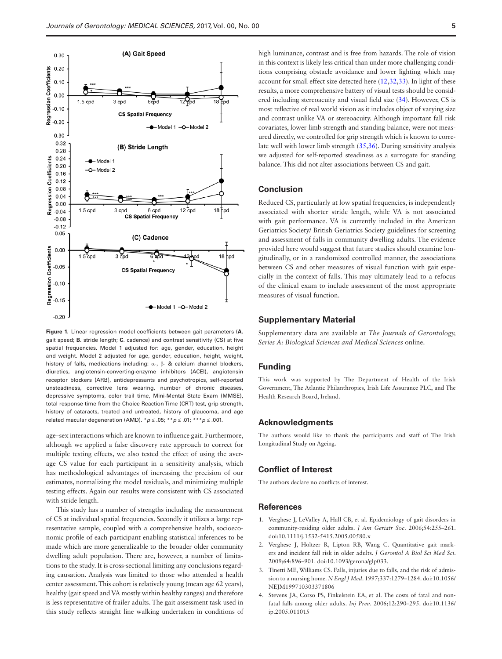

<span id="page-6-4"></span>**Figure 1.** Linear regression model coefficients between gait parameters (**A**. gait speed; **B**. stride length; **C**. cadence) and contrast sensitivity (CS) at five spatial frequencies. Model 1 adjusted for: age, gender, education, height and weight. Model 2 adjusted for age, gender, education, height, weight, history of falls, medications including: α-, β- & calcium channel blockers, diuretics, angiotensin-converting-enzyme inhibitors (ACEI), angiotensin receptor blockers (ARB), antidepressants and psychotropics, self-reported unsteadiness, corrective lens wearing, number of chronic diseases, depressive symptoms, color trail time, Mini-Mental State Exam (MMSE), total response time from the Choice Reaction Time (CRT) test, grip strength, history of cataracts, treated and untreated, history of glaucoma, and age related macular degeneration (AMD).  $p \le 0.05$ ;  $p \le 0.01$ ;  $p \le 0.01$ .

age–sex interactions which are known to influence gait. Furthermore, although we applied a false discovery rate approach to correct for multiple testing effects, we also tested the effect of using the average CS value for each participant in a sensitivity analysis, which has methodological advantages of increasing the precision of our estimates, normalizing the model residuals, and minimizing multiple testing effects. Again our results were consistent with CS associated with stride length.

This study has a number of strengths including the measurement of CS at individual spatial frequencies. Secondly it utilizes a large representative sample, coupled with a comprehensive health, socioeconomic profile of each participant enabling statistical inferences to be made which are more generalizable to the broader older community dwelling adult population. There are, however, a number of limitations to the study. It is cross-sectional limiting any conclusions regarding causation. Analysis was limited to those who attended a health center assessment. This cohort is relatively young (mean age 62 years), healthy (gait speed and VA mostly within healthy ranges) and therefore is less representative of frailer adults. The gait assessment task used in this study reflects straight line walking undertaken in conditions of

high luminance, contrast and is free from hazards. The role of vision in this context is likely less critical than under more challenging conditions comprising obstacle avoidance and lower lighting which may account for small effect size detected here [\(12,](#page-7-8)[32,](#page-7-27)[33\)](#page-7-28). In light of these results, a more comprehensive battery of visual tests should be considered including stereoacuity and visual field size ([34](#page-7-29)). However, CS is most reflective of real world vision as it includes object of varying size and contrast unlike VA or stereoacuity. Although important fall risk covariates, lower limb strength and standing balance, were not measured directly, we controlled for grip strength which is known to correlate well with lower limb strength ([35,](#page-7-30)[36\)](#page-7-31). During sensitivity analysis we adjusted for self-reported steadiness as a surrogate for standing balance. This did not alter associations between CS and gait.

#### **Conclusion**

Reduced CS, particularly at low spatial frequencies, is independently associated with shorter stride length, while VA is not associated with gait performance. VA is currently included in the American Geriatrics Society/ British Geriatrics Society guidelines for screening and assessment of falls in community dwelling adults. The evidence provided here would suggest that future studies should examine longitudinally, or in a randomized controlled manner, the associations between CS and other measures of visual function with gait especially in the context of falls. This may ultimately lead to a refocus of the clinical exam to include assessment of the most appropriate measures of visual function.

#### **Supplementary Material**

Supplementary data are available at *The Journals of Gerontology, Series A: Biological Sciences and Medical Sciences* online.

#### **Funding**

This work was supported by The Department of Health of the Irish Government, The Atlantic Philanthropies, Irish Life Assurance PLC, and The Health Research Board, Ireland.

#### **Acknowledgments**

The authors would like to thank the participants and staff of The Irish Longitudinal Study on Ageing.

#### **Conflict of Interest**

The authors declare no conflicts of interest.

#### **References**

- <span id="page-6-0"></span>1. Verghese J, LeValley A, Hall CB, et al. Epidemiology of gait disorders in community-residing older adults. *J Am Geriatr Soc*. 2006;54:255–261. doi:10.1111/j.1532-5415.2005.00580.x
- <span id="page-6-1"></span>2. Verghese J, Holtzer R, Lipton RB, Wang C. Quantitative gait markers and incident fall risk in older adults. *J Gerontol A Biol Sci Med Sci*. 2009;64:896–901. doi:10.1093/gerona/glp033.
- <span id="page-6-2"></span>3. Tinetti ME, Williams CS. Falls, injuries due to falls, and the risk of admission to a nursing home. *N Engl J Med*. 1997;337:1279–1284. doi:10.1056/ NEJM199710303371806
- <span id="page-6-3"></span>4. Stevens JA, Corso PS, Finkelstein EA, et al. The costs of fatal and nonfatal falls among older adults. *Inj Prev*. 2006;12:290–295. doi:10.1136/ ip.2005.011015